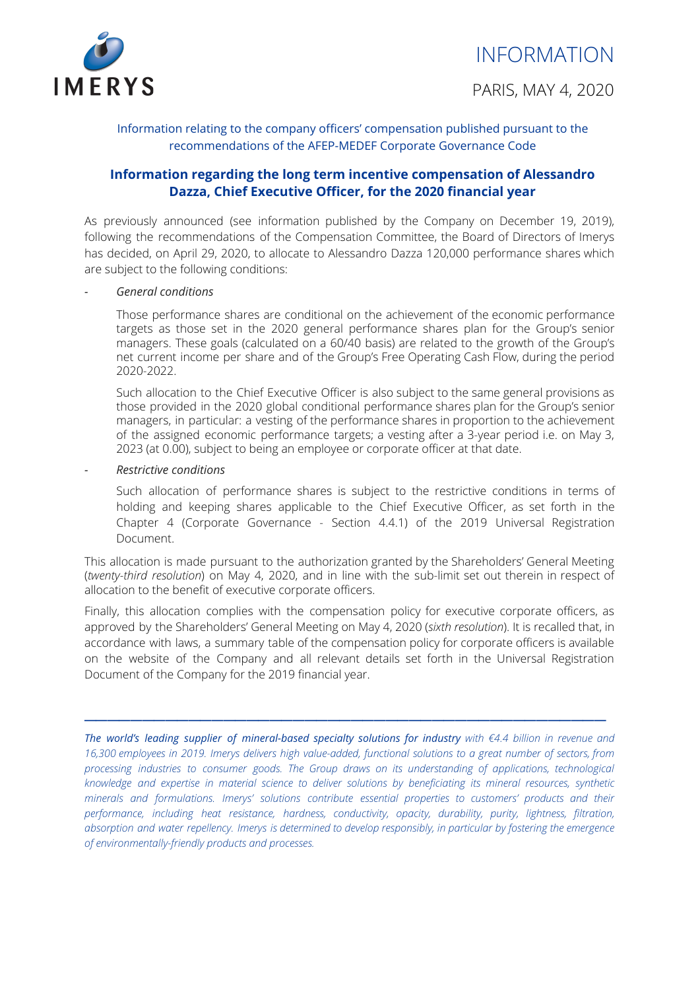

Information relating to the company officers' compensation published pursuant to the recommendations of the AFEP-MEDEF Corporate Governance Code

## **Information regarding the long term incentive compensation of Alessandro Dazza, Chief Executive Officer, for the 2020 financial year**

As previously announced (see information published by the Company on December 19, 2019), following the recommendations of the Compensation Committee, the Board of Directors of Imerys has decided, on April 29, 2020, to allocate to Alessandro Dazza 120,000 performance shares which are subject to the following conditions:

#### *- General conditions*

Those performance shares are conditional on the achievement of the economic performance targets as those set in the 2020 general performance shares plan for the Group's senior managers. These goals (calculated on a 60/40 basis) are related to the growth of the Group's net current income per share and of the Group's Free Operating Cash Flow, during the period 2020-2022.

Such allocation to the Chief Executive Officer is also subject to the same general provisions as those provided in the 2020 global conditional performance shares plan for the Group's senior managers, in particular: a vesting of the performance shares in proportion to the achievement of the assigned economic performance targets; a vesting after a 3-year period i.e. on May 3, 2023 (at 0.00), subject to being an employee or corporate officer at that date.

#### *- Restrictive conditions*

Such allocation of performance shares is subject to the restrictive conditions in terms of holding and keeping shares applicable to the Chief Executive Officer, as set forth in the Chapter 4 (Corporate Governance - Section 4.4.1) of the 2019 Universal Registration Document.

This allocation is made pursuant to the authorization granted by the Shareholders' General Meeting (*twenty-third resolution*) on May 4, 2020, and in line with the sub-limit set out therein in respect of allocation to the benefit of executive corporate officers.

Finally, this allocation complies with the compensation policy for executive corporate officers, as approved by the Shareholders' General Meeting on May 4, 2020 (*sixth resolution*). It is recalled that, in accordance with laws, a summary table of the compensation policy for corporate officers is available on the website of the Company and all relevant details set forth in the Universal Registration Document of the Company for the 2019 financial year.

 $\frac{1}{2}$  ,  $\frac{1}{2}$  ,  $\frac{1}{2}$  ,  $\frac{1}{2}$  ,  $\frac{1}{2}$  ,  $\frac{1}{2}$  ,  $\frac{1}{2}$  ,  $\frac{1}{2}$  ,  $\frac{1}{2}$  ,  $\frac{1}{2}$  ,  $\frac{1}{2}$  ,  $\frac{1}{2}$  ,  $\frac{1}{2}$  ,  $\frac{1}{2}$  ,  $\frac{1}{2}$  ,  $\frac{1}{2}$  ,  $\frac{1}{2}$  ,  $\frac{1}{2}$  ,  $\frac{1$ 

*The world's leading supplier of mineral-based specialty solutions for industry with €4.4 billion in revenue and* 16,300 employees in 2019. Imerys delivers high value-added, functional solutions to a great number of sectors, from *processing industries to consumer goods. The Group draws on its understanding of applications, technological knowledge and expertise in material science to deliver solutions by beneficiating its mineral resources, synthetic minerals and formulations. Imerys' solutions contribute essential properties to customers' products and their performance, including heat resistance, hardness, conductivity, opacity, durability, purity, lightness, filtration,* absorption and water repellency. Imerys is determined to develop responsibly, in particular by fostering the emergence *of environmentally-friendly products and processes.*